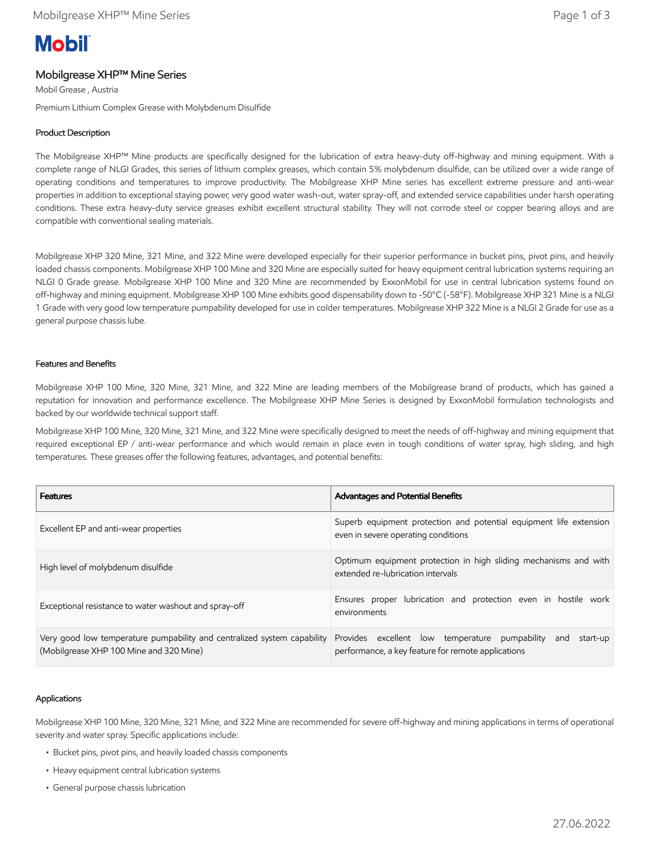# **Mobil**

## Mobilgrease XHP™ Mine Series

Mobil Grease , Austria

Premium Lithium Complex Grease with Molybdenum Disulfide

## Product Description

The Mobilgrease XHP™ Mine products are specifically designed for the lubrication of extra heavy-duty off-highway and mining equipment. With a complete range of NLGI Grades, this series of lithium complex greases, which contain 5% molybdenum disulfide, can be utilized over a wide range of operating conditions and temperatures to improve productivity. The Mobilgrease XHP Mine series has excellent extreme pressure and anti-wear properties in addition to exceptional staying power, very good water wash-out, water spray-off, and extended service capabilities under harsh operating conditions. These extra heavy-duty service greases exhibit excellent structural stability. They will not corrode steel or copper bearing alloys and are compatible with conventional sealing materials.

Mobilgrease XHP 320 Mine, 321 Mine, and 322 Mine were developed especially for their superior performance in bucket pins, pivot pins, and heavily loaded chassis components. Mobilgrease XHP 100 Mine and 320 Mine are especially suited for heavy equipment central lubrication systems requiring an NLGI 0 Grade grease. Mobilgrease XHP 100 Mine and 320 Mine are recommended by ExxonMobil for use in central lubrication systems found on off-highway and mining equipment. Mobilgrease XHP 100 Mine exhibits good dispensability down to -50°C (-58°F). Mobilgrease XHP 321 Mine is a NLGI 1 Grade with very good low temperature pumpability developed for use in colder temperatures. Mobilgrease XHP 322 Mine is a NLGI 2 Grade for use as a general purpose chassis lube.

#### Features and Benefits

Mobilgrease XHP 100 Mine, 320 Mine, 321 Mine, and 322 Mine are leading members of the Mobilgrease brand of products, which has gained a reputation for innovation and performance excellence. The Mobilgrease XHP Mine Series is designed by ExxonMobil formulation technologists and backed by our worldwide technical support staff.

Mobilgrease XHP 100 Mine, 320 Mine, 321 Mine, and 322 Mine were specifically designed to meet the needs of off-highway and mining equipment that required exceptional EP / anti-wear performance and which would remain in place even in tough conditions of water spray, high sliding, and high temperatures. These greases offer the following features, advantages, and potential benefits:

| <b>Features</b>                                                                                                    | Advantages and Potential Benefits                                                                                       |  |  |
|--------------------------------------------------------------------------------------------------------------------|-------------------------------------------------------------------------------------------------------------------------|--|--|
| Excellent EP and anti-wear properties                                                                              | Superb equipment protection and potential equipment life extension<br>even in severe operating conditions               |  |  |
| High level of molybdenum disulfide                                                                                 | Optimum equipment protection in high sliding mechanisms and with<br>extended re-lubrication intervals                   |  |  |
| Exceptional resistance to water washout and spray-off                                                              | Ensures proper lubrication and protection even in hostile work<br>environments                                          |  |  |
| Very good low temperature pumpability and centralized system capability<br>(Mobilgrease XHP 100 Mine and 320 Mine) | Provides excellent low temperature pumpability<br>start-up<br>and<br>performance, a key feature for remote applications |  |  |

#### Applications

Mobilgrease XHP 100 Mine, 320 Mine, 321 Mine, and 322 Mine are recommended for severe off-highway and mining applications in terms of operational severity and water spray. Specific applications include:

- Bucket pins, pivot pins, and heavily loaded chassis components
- Heavy equipment central lubrication systems
- General purpose chassis lubrication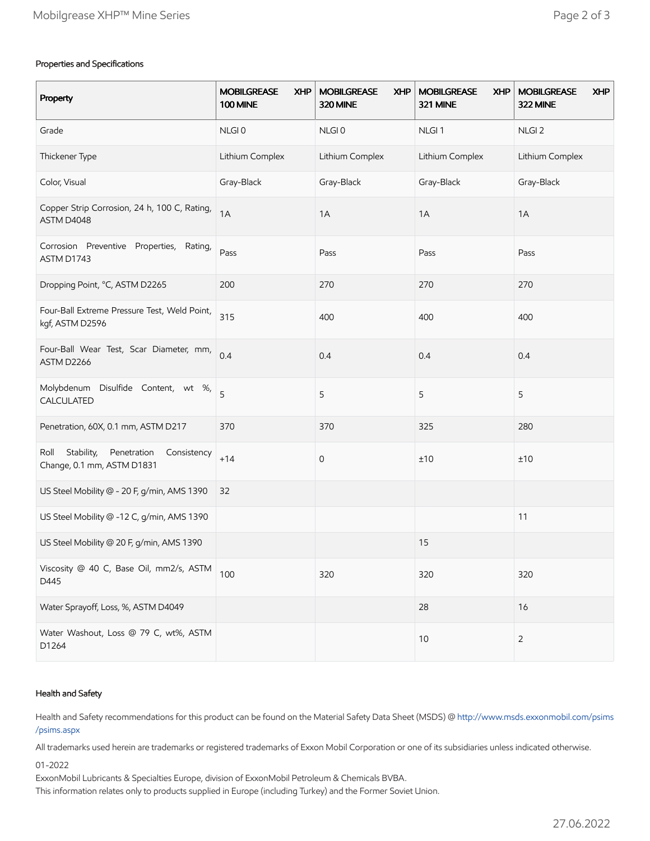### Properties and Specifications

| Property                                                                       | <b>MOBILGREASE</b><br><b>XHP</b><br><b>100 MINE</b> | <b>MOBILGREASE</b><br><b>XHP</b><br>320 MINE | <b>MOBILGREASE</b><br><b>XHP</b><br>321 MINE | <b>MOBILGREASE</b><br><b>XHP</b><br>322 MINE |
|--------------------------------------------------------------------------------|-----------------------------------------------------|----------------------------------------------|----------------------------------------------|----------------------------------------------|
| Grade                                                                          | NLGI0                                               | NLGI0                                        | NLGI <sub>1</sub>                            | NLGI <sub>2</sub>                            |
| Thickener Type                                                                 | Lithium Complex                                     | Lithium Complex                              | Lithium Complex                              | Lithium Complex                              |
| Color, Visual                                                                  | Gray-Black                                          | Gray-Black                                   | Gray-Black                                   | Gray-Black                                   |
| Copper Strip Corrosion, 24 h, 100 C, Rating,<br>ASTM D4048                     | 1A                                                  | 1A                                           | 1A                                           | 1A                                           |
| Corrosion Preventive Properties,<br>Rating,<br>ASTM D1743                      | Pass                                                | Pass                                         | Pass                                         | Pass                                         |
| Dropping Point, °C, ASTM D2265                                                 | 200                                                 | 270                                          | 270                                          | 270                                          |
| Four-Ball Extreme Pressure Test, Weld Point,<br>kgf, ASTM D2596                | 315                                                 | 400                                          | 400                                          | 400                                          |
| Four-Ball Wear Test, Scar Diameter, mm,<br>ASTM D2266                          | 0.4                                                 | 0.4                                          | 0.4                                          | 0.4                                          |
| Molybdenum Disulfide Content, wt %,<br>CALCULATED                              | 5                                                   | 5                                            | 5                                            | 5                                            |
| Penetration, 60X, 0.1 mm, ASTM D217                                            | 370                                                 | 370                                          | 325                                          | 280                                          |
| Stability,<br>Penetration<br>Roll<br>Consistency<br>Change, 0.1 mm, ASTM D1831 | $+14$                                               | 0                                            | ±10                                          | ±10                                          |
| US Steel Mobility @ - 20 F, g/min, AMS 1390                                    | 32                                                  |                                              |                                              |                                              |
| US Steel Mobility @ -12 C, g/min, AMS 1390                                     |                                                     |                                              |                                              | 11                                           |
| US Steel Mobility @ 20 F, g/min, AMS 1390                                      |                                                     |                                              | 15                                           |                                              |
| Viscosity @ 40 C, Base Oil, mm2/s, ASTM<br>D445                                | 100                                                 | 320                                          | 320                                          | 320                                          |
| Water Sprayoff, Loss, %, ASTM D4049                                            |                                                     |                                              | 28                                           | 16                                           |
| Water Washout, Loss @ 79 C, wt%, ASTM<br>D1264                                 |                                                     |                                              | 10                                           | $\overline{2}$                               |

#### Health and Safety

Health and Safety recommendations for this product can be found on the Material Safety Data Sheet (MSDS) @ [http://www.msds.exxonmobil.com/psims](http://www.msds.exxonmobil.com/psims/psims.aspx) /psims.aspx

All trademarks used herein are trademarks or registered trademarks of Exxon Mobil Corporation or one of its subsidiaries unless indicated otherwise.

01-2022

ExxonMobil Lubricants & Specialties Europe, division of ExxonMobil Petroleum & Chemicals BVBA.

This information relates only to products supplied in Europe (including Turkey) and the Former Soviet Union.